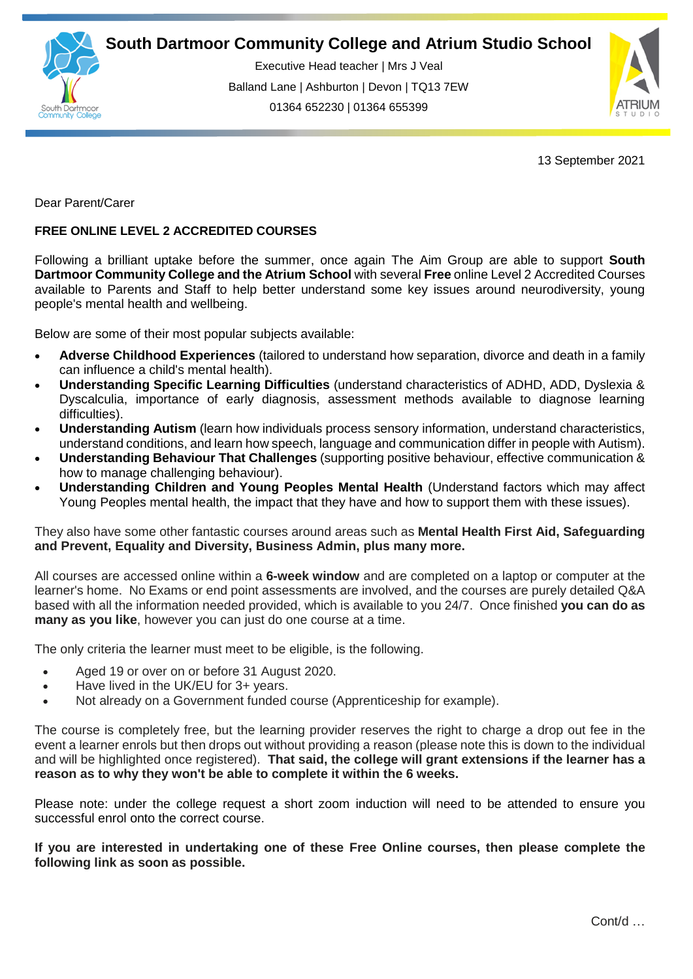

Executive Head teacher | Mrs J Veal Balland Lane | Ashburton | Devon | TQ13 7EW 01364 652230 | 01364 655399



13 September 2021

Dear Parent/Carer

## **FREE ONLINE LEVEL 2 ACCREDITED COURSES**

Following a brilliant uptake before the summer, once again The Aim Group are able to support **South Dartmoor Community College and the Atrium School** with several **Free** online Level 2 Accredited Courses available to Parents and Staff to help better understand some key issues around neurodiversity, young people's mental health and wellbeing.

Below are some of their most popular subjects available:

- **Adverse Childhood Experiences** (tailored to understand how separation, divorce and death in a family can influence a child's mental health).
- **Understanding Specific Learning Difficulties** (understand characteristics of ADHD, ADD, Dyslexia & Dyscalculia, importance of early diagnosis, assessment methods available to diagnose learning difficulties).
- **Understanding Autism** (learn how individuals process sensory information, understand characteristics, understand conditions, and learn how speech, language and communication differ in people with Autism).
- **Understanding Behaviour That Challenges** (supporting positive behaviour, effective communication & how to manage challenging behaviour).
- **Understanding Children and Young Peoples Mental Health** (Understand factors which may affect Young Peoples mental health, the impact that they have and how to support them with these issues).

They also have some other fantastic courses around areas such as **Mental Health First Aid, Safeguarding and Prevent, Equality and Diversity, Business Admin, plus many more.**

All courses are accessed online within a **6-week window** and are completed on a laptop or computer at the learner's home. No Exams or end point assessments are involved, and the courses are purely detailed Q&A based with all the information needed provided, which is available to you 24/7. Once finished **you can do as many as you like**, however you can just do one course at a time.

The only criteria the learner must meet to be eligible, is the following.

- Aged 19 or over on or before 31 August 2020.
- Have lived in the UK/EU for 3+ years.
- Not already on a Government funded course (Apprenticeship for example).

The course is completely free, but the learning provider reserves the right to charge a drop out fee in the event a learner enrols but then drops out without providing a reason (please note this is down to the individual and will be highlighted once registered). **That said, the college will grant extensions if the learner has a reason as to why they won't be able to complete it within the 6 weeks.**

Please note: under the college request a short zoom induction will need to be attended to ensure you successful enrol onto the correct course.

**If you are interested in undertaking one of these Free Online courses, then please complete the following link as soon as possible.**